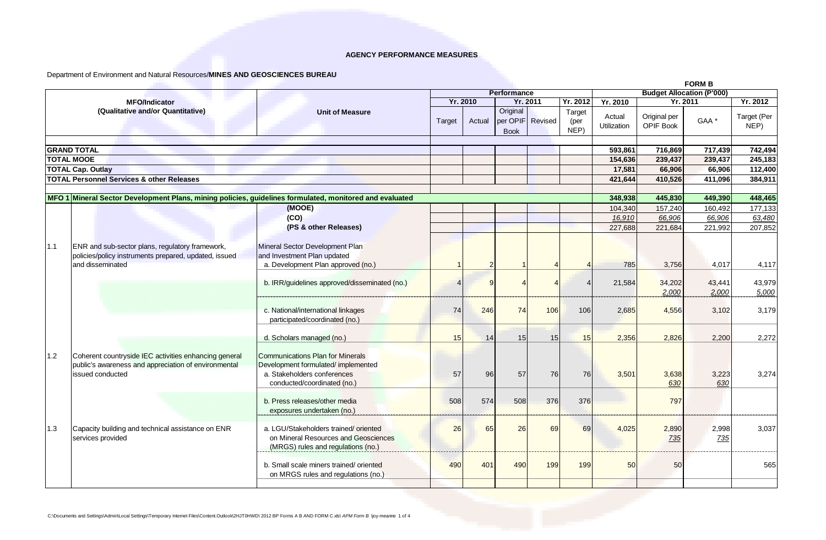Department of Environment and Natural Resources/**MINES AND GEOSCIENCES BUREAU** 

|     |                                                                                                                                   |                                                                                                                                             |          |        |                         |                  | <b>FORM B</b>          |                                  |                                  |                  |                     |
|-----|-----------------------------------------------------------------------------------------------------------------------------------|---------------------------------------------------------------------------------------------------------------------------------------------|----------|--------|-------------------------|------------------|------------------------|----------------------------------|----------------------------------|------------------|---------------------|
|     |                                                                                                                                   |                                                                                                                                             |          |        | Performance             |                  |                        | <b>Budget Allocation (P'000)</b> |                                  |                  |                     |
|     | <b>MFO/Indicator</b>                                                                                                              | <b>Unit of Measure</b>                                                                                                                      | Yr. 2010 |        |                         | <b>Yr. 2011</b>  |                        | Yr. 2012<br>Yr. 2010             |                                  | Yr. 2011         | Yr. 2012            |
|     | (Qualitative and/or Quantitative)                                                                                                 |                                                                                                                                             | Target   | Actual | Original<br><b>Book</b> | per OPIF Revised | Target<br>(per<br>NEP) | Actual<br><b>Utilization</b>     | Original per<br><b>OPIF Book</b> | GAA <sup>*</sup> | Target (Per<br>NEP) |
|     |                                                                                                                                   |                                                                                                                                             |          |        |                         |                  |                        |                                  |                                  |                  |                     |
|     | <b>GRAND TOTAL</b>                                                                                                                |                                                                                                                                             |          |        |                         |                  |                        | 593,861                          | 716,869                          | 717,439          | 742,494             |
|     | <b>TOTAL MOOE</b>                                                                                                                 |                                                                                                                                             |          |        |                         |                  |                        | 154,636                          | 239,437                          | 239,437          | 245,183             |
|     | <b>TOTAL Cap. Outlay</b>                                                                                                          |                                                                                                                                             |          |        |                         |                  |                        | 17,581                           | 66,906                           | 66,906           | 112,400             |
|     | <b>TOTAL Personnel Services &amp; other Releases</b>                                                                              |                                                                                                                                             |          |        |                         |                  |                        | 421,644                          | 410,526                          | 411,096          | 384,911             |
|     | MFO 1 Mineral Sector Development Plans, mining policies, guidelines formulated, monitored and evaluated                           |                                                                                                                                             |          |        |                         |                  |                        | 348,938                          | 445,830                          | 449,390          | 448,465             |
|     |                                                                                                                                   | (MOOE)                                                                                                                                      |          |        |                         |                  |                        | 104.340                          | 157.240                          | 160.492          | 177,133             |
|     |                                                                                                                                   | (CO)                                                                                                                                        |          |        |                         |                  |                        | 16,910                           | 66,906                           | 66,906           | 63,480              |
|     |                                                                                                                                   | (PS & other Releases)                                                                                                                       |          |        |                         |                  |                        | 227,688                          | 221,684                          | 221,992          | 207,852             |
|     |                                                                                                                                   |                                                                                                                                             |          |        |                         |                  |                        |                                  |                                  |                  |                     |
| 1.1 | ENR and sub-sector plans, regulatory framework,<br>policies/policy instruments prepared, updated, issued                          | Mineral Sector Development Plan<br>and Investment Plan updated                                                                              |          |        |                         |                  |                        |                                  |                                  |                  |                     |
|     | and disseminated                                                                                                                  | a. Development Plan approved (no.)                                                                                                          |          |        |                         | $\Delta$         |                        | 785                              | 3,756                            | 4,017            | 4,117               |
|     |                                                                                                                                   | b. IRR/guidelines approved/disseminated (no.)                                                                                               |          |        |                         |                  |                        | 21,584                           | 34,202<br>2,000                  | 43,441<br>2,000  | 43,979<br>5,000     |
|     |                                                                                                                                   | c. National/international linkages<br>participated/coordinated (no.)                                                                        | 74       | 246    | 74                      | 106              | 106                    | 2,685                            | 4,556                            | 3,102            | 3.179               |
|     |                                                                                                                                   | d. Scholars managed (no.)                                                                                                                   | 15       | 14     | 15 <sup>1</sup>         | 15               | 15                     | 2,356                            | 2.826                            | 2.200            | 2,272               |
| 1.2 | Coherent countryside IEC activities enhancing general<br>public's awareness and appreciation of environmental<br>issued conducted | <b>Communications Plan for Minerals</b><br>Development formulated/implemented<br>a. Stakeholders conferences<br>conducted/coordinated (no.) | 57       | 96     | 57                      | 76               | 76                     | 3,501                            | 3,638<br>630                     | 3,223<br>630     | 3,274               |
|     |                                                                                                                                   | b. Press releases/other media<br>exposures undertaken (no.)                                                                                 | 508      | 574    | 508                     | 376              | 376                    |                                  | 797                              |                  |                     |
| 1.3 | Capacity building and technical assistance on ENR<br>services provided                                                            | a. LGU/Stakeholders trained/oriented<br>on Mineral Resources and Geosciences<br>(MRGS) rules and regulations (no.)                          | 26       | 65     | 26                      | 69               | 69                     | 4,025                            | 2,890<br>735                     | 2,998<br>735     | 3,037               |
|     |                                                                                                                                   | b. Small scale miners trained/oriented<br>on MRGS rules and regulations (no.)                                                               | 490      | 401    | 490                     | 199              | 199                    | 50                               | 50                               |                  | 565                 |
|     |                                                                                                                                   |                                                                                                                                             |          |        |                         |                  |                        |                                  |                                  |                  |                     |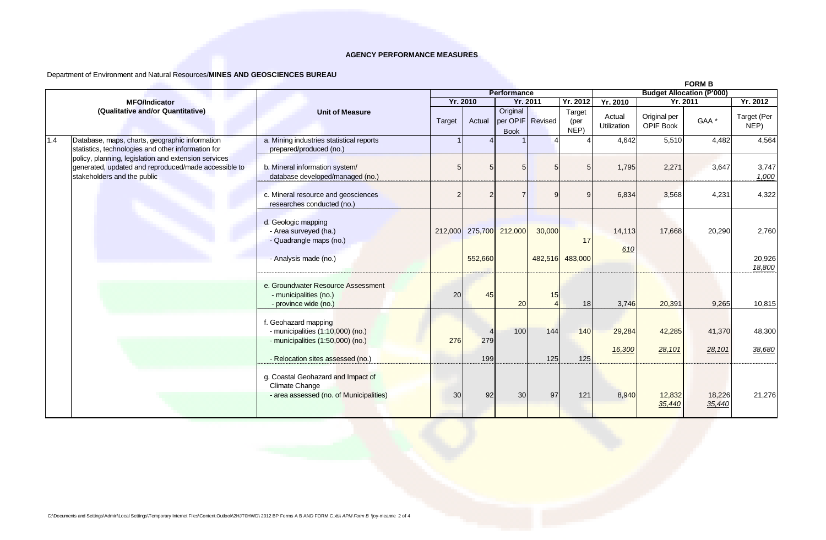# Department of Environment and Natural Resources/**MINES AND GEOSCIENCES BUREAU**

|     |                                                                                                                                                                                                                                                     |                                                                                                        |         |                                    |                         |                  |                        |                       |                                  | <b>FORM B</b>    |                           |  |
|-----|-----------------------------------------------------------------------------------------------------------------------------------------------------------------------------------------------------------------------------------------------------|--------------------------------------------------------------------------------------------------------|---------|------------------------------------|-------------------------|------------------|------------------------|-----------------------|----------------------------------|------------------|---------------------------|--|
|     |                                                                                                                                                                                                                                                     |                                                                                                        |         | Performance                        |                         |                  |                        |                       | <b>Budget Allocation (P'000)</b> |                  |                           |  |
|     | <b>MFO/Indicator</b>                                                                                                                                                                                                                                |                                                                                                        |         | <b>Yr. 2010</b><br><b>Yr. 2011</b> |                         |                  | Yr. 2012               | Yr. 2010              | Yr. 2011                         |                  | Yr. 2012                  |  |
|     | (Qualitative and/or Quantitative)                                                                                                                                                                                                                   | <b>Unit of Measure</b>                                                                                 | Target  | Actual                             | Original<br><b>Book</b> | per OPIF Revised | Target<br>(per<br>NEP) | Actual<br>Utilization | Original per<br>OPIF Book        | GAA <sup>*</sup> | Target (Per<br>NEP)       |  |
| 1.4 | Database, maps, charts, geographic information<br>statistics, technologies and other information for<br>policy, planning, legislation and extension services<br>generated, updated and reproduced/made accessible to<br>stakeholders and the public | a. Mining industries statistical reports<br>prepared/produced (no.)                                    |         |                                    |                         |                  |                        | 4,642                 | 5,510                            | 4,482            | 4,564                     |  |
|     |                                                                                                                                                                                                                                                     | b. Mineral information system/<br>database developed/managed (no.)                                     | ŗ       | 5                                  |                         |                  |                        | 1,795                 | 2,271                            | 3,647            | 3,747<br>1,000            |  |
|     |                                                                                                                                                                                                                                                     | c. Mineral resource and geosciences<br>researches conducted (no.)                                      | 2       |                                    |                         |                  |                        | 6,834                 | 3,568                            | 4,231            | 4,322                     |  |
|     |                                                                                                                                                                                                                                                     | d. Geologic mapping<br>- Area surveyed (ha.)<br>- Quadrangle maps (no.)<br>- Analysis made (no.)       | 212,000 | 552,660                            | 275,700 212,000         | 30,000           | 17<br>482,516 483,000  | 14,113<br>610         | 17,668                           | 20,290           | 2,760<br>20,926<br>18,800 |  |
|     |                                                                                                                                                                                                                                                     | e. Groundwater Resource Assessment<br>- municipalities (no.)<br>- province wide (no.)                  | 20      | 45                                 | 20                      | 15               | 18                     | 3,746                 | 20,391                           | 9,265            | 10,815                    |  |
|     |                                                                                                                                                                                                                                                     | f. Geohazard mapping<br>- municipalities (1:10,000) (no.)<br>- municipalities $(1:50,000)$ (no.)       | 276     | 279                                | 100                     | 144              | 140                    | 29,284                | 42,285                           | 41,370           | 48,300                    |  |
|     |                                                                                                                                                                                                                                                     | - Relocation sites assessed (no.)                                                                      |         | 199                                |                         | 125              | 125                    | 16,300                | 28,101                           | 28,101           | 38,680                    |  |
|     |                                                                                                                                                                                                                                                     | g. Coastal Geohazard and Impact of<br><b>Climate Change</b><br>- area assessed (no. of Municipalities) | 30      | 92                                 | 30                      | 97               | 121                    | 8,940                 | 12,832<br>35,440                 | 18,226<br>35,440 | 21,276                    |  |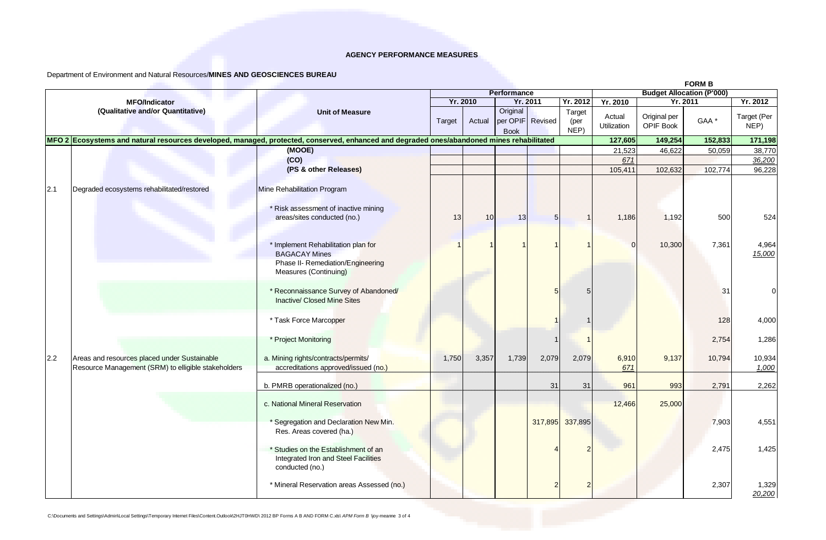# Department of Environment and Natural Resources/**MINES AND GEOSCIENCES BUREAU**

|     |                                                                                                                                           |                                                                                                        |                 |        |                         |                  |                        | <b>FORM B</b>                    |                           |                  |                     |  |
|-----|-------------------------------------------------------------------------------------------------------------------------------------------|--------------------------------------------------------------------------------------------------------|-----------------|--------|-------------------------|------------------|------------------------|----------------------------------|---------------------------|------------------|---------------------|--|
|     |                                                                                                                                           |                                                                                                        |                 |        | Performance             |                  |                        | <b>Budget Allocation (P'000)</b> |                           |                  |                     |  |
|     | <b>MFO/Indicator</b>                                                                                                                      | <b>Unit of Measure</b>                                                                                 | <b>Yr. 2010</b> |        | <b>Yr. 2011</b>         |                  | Yr. 2012               | Yr. 2010                         | Yr. 2011                  |                  | Yr. 2012            |  |
|     | (Qualitative and/or Quantitative)                                                                                                         |                                                                                                        | Target          | Actual | Original<br><b>Book</b> | per OPIF Revised | Target<br>(per<br>NEP) | Actual<br>Utilization            | Original per<br>OPIF Book | GAA <sup>*</sup> | Target (Per<br>NEP) |  |
|     | MFO 2 Ecosystems and natural resources developed, managed, protected, conserved, enhanced and degraded ones/abandoned mines rehabilitated |                                                                                                        |                 |        |                         |                  |                        | 127,605                          | 149,254                   | 152,833          | 171,198             |  |
|     |                                                                                                                                           | (MOOE)                                                                                                 |                 |        |                         |                  |                        | 21,523                           | 46,622                    | 50,059           | 38,770              |  |
|     |                                                                                                                                           | (CO)                                                                                                   |                 |        |                         |                  |                        | 671                              |                           |                  | 36,200              |  |
|     |                                                                                                                                           | (PS & other Releases)                                                                                  |                 |        |                         |                  |                        | 105,411                          | 102,632                   | 102,774          | 96,228              |  |
| 2.1 | Degraded ecosystems rehabilitated/restored                                                                                                | Mine Rehabilitation Program                                                                            |                 |        |                         |                  |                        |                                  |                           |                  |                     |  |
|     |                                                                                                                                           | * Risk assessment of inactive mining                                                                   |                 |        |                         |                  |                        |                                  |                           |                  |                     |  |
|     |                                                                                                                                           | areas/sites conducted (no.)                                                                            | 13              | 10     | 13                      | 5                |                        | 1,186                            | 1,192                     | 500              | 524                 |  |
|     |                                                                                                                                           |                                                                                                        |                 |        |                         |                  |                        |                                  |                           |                  |                     |  |
|     |                                                                                                                                           | * Implement Rehabilitation plan for<br><b>BAGACAY Mines</b>                                            |                 |        |                         |                  |                        | $\Omega$                         | 10,300                    | 7,361            | 4,964<br>15,000     |  |
|     |                                                                                                                                           | Phase II- Remediation/Engineering<br>Measures (Continuing)                                             |                 |        |                         |                  |                        |                                  |                           |                  |                     |  |
|     |                                                                                                                                           | * Reconnaissance Survey of Abandoned/<br><b>Inactive/ Closed Mine Sites</b>                            |                 |        |                         |                  |                        |                                  |                           | 31               |                     |  |
|     |                                                                                                                                           | * Task Force Marcopper                                                                                 |                 |        |                         |                  |                        |                                  |                           | 128              | 4,000               |  |
|     |                                                                                                                                           | * Project Monitoring                                                                                   |                 |        |                         |                  |                        |                                  |                           | 2,754            | 1,286               |  |
| 2.2 | Areas and resources placed under Sustainable                                                                                              | a. Mining rights/contracts/permits/                                                                    | 1,750           | 3,357  | 1,739                   | 2,079            | 2,079                  | 6,910                            | 9,137                     | 10,794           | 10,934              |  |
|     | Resource Management (SRM) to elligible stakeholders                                                                                       | accreditations approved/issued (no.)                                                                   |                 |        |                         |                  |                        | 671                              |                           |                  | 1,000               |  |
|     |                                                                                                                                           | b. PMRB operationalized (no.)                                                                          |                 |        |                         | 31               | 31                     | 961                              | 993                       | 2,791            | 2,262               |  |
|     |                                                                                                                                           | c. National Mineral Reservation                                                                        |                 |        |                         |                  |                        | 12,466                           | 25,000                    |                  |                     |  |
|     |                                                                                                                                           | * Segregation and Declaration New Min.<br>Res. Areas covered (ha.)                                     |                 |        |                         | 317,895          | 337,895                |                                  |                           | 7,903            | 4,551               |  |
|     |                                                                                                                                           | * Studies on the Establishment of an<br><b>Integrated Iron and Steel Facilities</b><br>conducted (no.) |                 |        |                         |                  |                        |                                  |                           | 2,475            | 1,425               |  |
|     |                                                                                                                                           | * Mineral Reservation areas Assessed (no.)                                                             |                 |        |                         |                  |                        |                                  |                           | 2,307            | 1,329<br>20,200     |  |